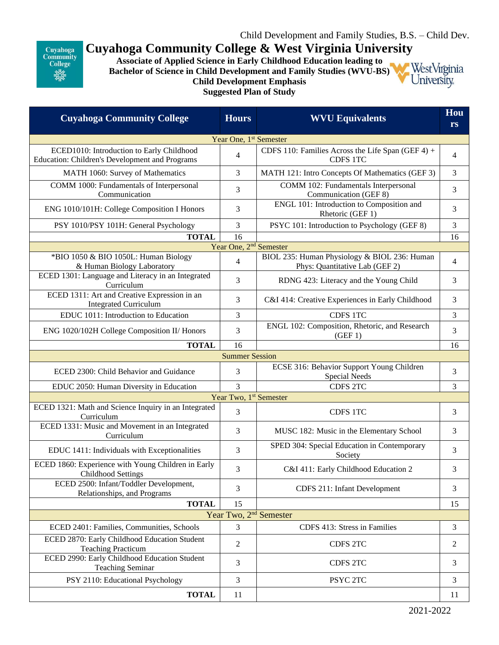Cuyahoga **Community**<br>College 業業

## **Cuyahoga Community College & West Virginia University**

**Associate of Applied Science in Early Childhood Education leading to Bachelor of Science in Child Development and Family Studies (WVU-BS) Child Development Emphasis Suggested Plan of Study**



| <b>Cuyahoga Community College</b>                                                           | <b>Hours</b>                       | <b>WVU Equivalents</b>                                                         | Hou<br><b>rs</b> |  |  |
|---------------------------------------------------------------------------------------------|------------------------------------|--------------------------------------------------------------------------------|------------------|--|--|
| Year One, 1 <sup>st</sup> Semester                                                          |                                    |                                                                                |                  |  |  |
| ECED1010: Introduction to Early Childhood<br>Education: Children's Development and Programs | 4                                  | CDFS 110: Families Across the Life Span (GEF 4) +<br>CDFS 1TC                  | 4                |  |  |
| MATH 1060: Survey of Mathematics                                                            | 3                                  | MATH 121: Intro Concepts Of Mathematics (GEF 3)                                | 3                |  |  |
| COMM 1000: Fundamentals of Interpersonal<br>Communication                                   | 3                                  | COMM 102: Fundamentals Interpersonal<br>Communication (GEF 8)                  | 3                |  |  |
| ENG 1010/101H: College Composition I Honors                                                 | 3                                  | ENGL 101: Introduction to Composition and<br>Rhetoric (GEF 1)                  | 3                |  |  |
| PSY 1010/PSY 101H: General Psychology                                                       | 3                                  | PSYC 101: Introduction to Psychology (GEF 8)                                   | 3                |  |  |
| <b>TOTAL</b>                                                                                | 16                                 |                                                                                | 16               |  |  |
|                                                                                             | Year One, 2 <sup>nd</sup> Semester |                                                                                |                  |  |  |
| *BIO 1050 & BIO 1050L: Human Biology<br>& Human Biology Laboratory                          | $\overline{4}$                     | BIOL 235: Human Physiology & BIOL 236: Human<br>Phys: Quantitative Lab (GEF 2) | 4                |  |  |
| ECED 1301: Language and Literacy in an Integrated<br>Curriculum                             | 3                                  | RDNG 423: Literacy and the Young Child                                         | 3                |  |  |
| ECED 1311: Art and Creative Expression in an<br><b>Integrated Curriculum</b>                | 3                                  | C&I 414: Creative Experiences in Early Childhood                               | 3                |  |  |
| EDUC 1011: Introduction to Education                                                        | 3                                  | CDFS 1TC                                                                       | 3                |  |  |
| ENG 1020/102H College Composition II/ Honors                                                | 3                                  | ENGL 102: Composition, Rhetoric, and Research<br>(GEF 1)                       | 3                |  |  |
| <b>TOTAL</b>                                                                                | 16                                 |                                                                                | 16               |  |  |
| <b>Summer Session</b>                                                                       |                                    |                                                                                |                  |  |  |
| ECED 2300: Child Behavior and Guidance                                                      | 3                                  | ECSE 316: Behavior Support Young Children<br>Special Needs                     | 3                |  |  |
| EDUC 2050: Human Diversity in Education                                                     | $\overline{3}$                     | CDFS 2TC                                                                       | 3                |  |  |
| Year Two, 1 <sup>st</sup> Semester                                                          |                                    |                                                                                |                  |  |  |
| ECED 1321: Math and Science Inquiry in an Integrated<br>Curriculum                          | 3                                  | CDFS 1TC                                                                       | 3                |  |  |
| ECED 1331: Music and Movement in an Integrated<br>Curriculum                                | 3                                  | MUSC 182: Music in the Elementary School                                       | 3                |  |  |
| EDUC 1411: Individuals with Exceptionalities                                                | 3                                  | SPED 304: Special Education in Contemporary<br>Society                         | 3                |  |  |
| ECED 1860: Experience with Young Children in Early<br><b>Childhood Settings</b>             | 3                                  | C&I 411: Early Childhood Education 2                                           | 3                |  |  |
| ECED 2500: Infant/Toddler Development,<br>Relationships, and Programs                       | 3                                  | <b>CDFS 211: Infant Development</b>                                            | 3                |  |  |
| <b>TOTAL</b>                                                                                | 15                                 |                                                                                | 15               |  |  |
| Year Two, 2 <sup>nd</sup> Semester                                                          |                                    |                                                                                |                  |  |  |
| ECED 2401: Families, Communities, Schools                                                   | 3                                  | CDFS 413: Stress in Families                                                   | 3                |  |  |
| ECED 2870: Early Childhood Education Student<br><b>Teaching Practicum</b>                   | 2                                  | CDFS 2TC                                                                       | $\overline{c}$   |  |  |
| ECED 2990: Early Childhood Education Student<br><b>Teaching Seminar</b>                     | 3                                  | CDFS 2TC                                                                       | 3                |  |  |
| PSY 2110: Educational Psychology                                                            | 3                                  | PSYC 2TC                                                                       | 3                |  |  |
| <b>TOTAL</b>                                                                                | 11                                 |                                                                                | 11               |  |  |